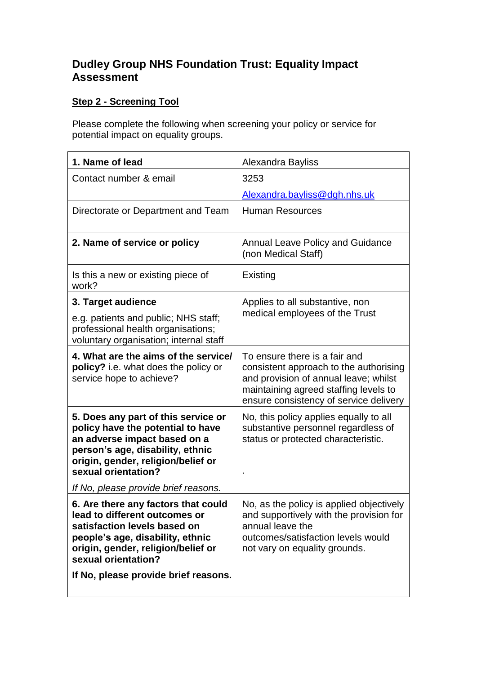## **Dudley Group NHS Foundation Trust: Equality Impact Assessment**

## **Step 2 - Screening Tool**

Please complete the following when screening your policy or service for potential impact on equality groups.

| 1. Name of lead                                                                                                                                                                                                                                   | Alexandra Bayliss                                                                                                                                                                                   |
|---------------------------------------------------------------------------------------------------------------------------------------------------------------------------------------------------------------------------------------------------|-----------------------------------------------------------------------------------------------------------------------------------------------------------------------------------------------------|
| Contact number & email                                                                                                                                                                                                                            | 3253                                                                                                                                                                                                |
|                                                                                                                                                                                                                                                   | Alexandra.bayliss@dgh.nhs.uk                                                                                                                                                                        |
| Directorate or Department and Team                                                                                                                                                                                                                | <b>Human Resources</b>                                                                                                                                                                              |
| 2. Name of service or policy                                                                                                                                                                                                                      | <b>Annual Leave Policy and Guidance</b><br>(non Medical Staff)                                                                                                                                      |
| Is this a new or existing piece of<br>work?                                                                                                                                                                                                       | Existing                                                                                                                                                                                            |
| 3. Target audience                                                                                                                                                                                                                                | Applies to all substantive, non                                                                                                                                                                     |
| e.g. patients and public; NHS staff;<br>professional health organisations;<br>voluntary organisation; internal staff                                                                                                                              | medical employees of the Trust                                                                                                                                                                      |
| 4. What are the aims of the service/<br>policy? i.e. what does the policy or<br>service hope to achieve?                                                                                                                                          | To ensure there is a fair and<br>consistent approach to the authorising<br>and provision of annual leave; whilst<br>maintaining agreed staffing levels to<br>ensure consistency of service delivery |
| 5. Does any part of this service or<br>policy have the potential to have<br>an adverse impact based on a<br>person's age, disability, ethnic<br>origin, gender, religion/belief or<br>sexual orientation?<br>If No, please provide brief reasons. | No, this policy applies equally to all<br>substantive personnel regardless of<br>status or protected characteristic.                                                                                |
| 6. Are there any factors that could<br>lead to different outcomes or<br>satisfaction levels based on<br>people's age, disability, ethnic<br>origin, gender, religion/belief or<br>sexual orientation?<br>If No, please provide brief reasons.     | No, as the policy is applied objectively<br>and supportively with the provision for<br>annual leave the<br>outcomes/satisfaction levels would<br>not vary on equality grounds.                      |